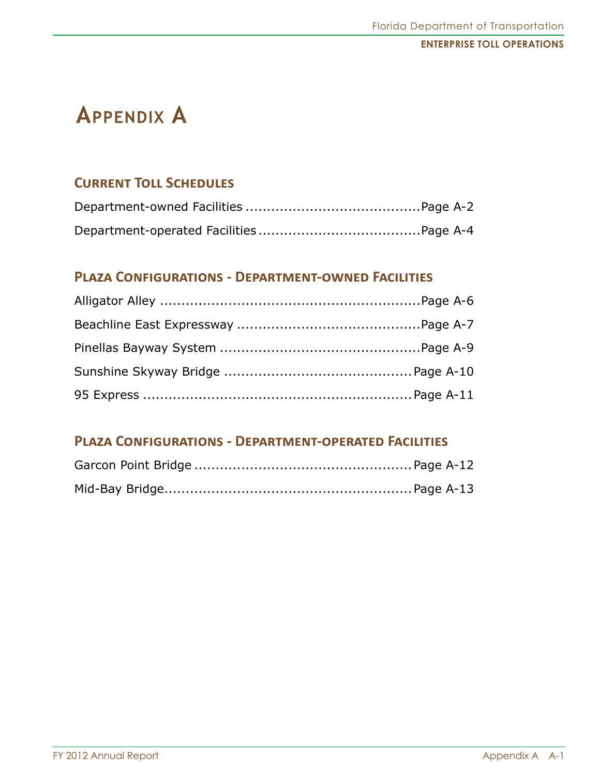# **Appendix A**

## **Current Toll Schedules**

## **Plaza Configurations - Department-owned Facilities**

## **Plaza Configurations - Department-operated Facilities**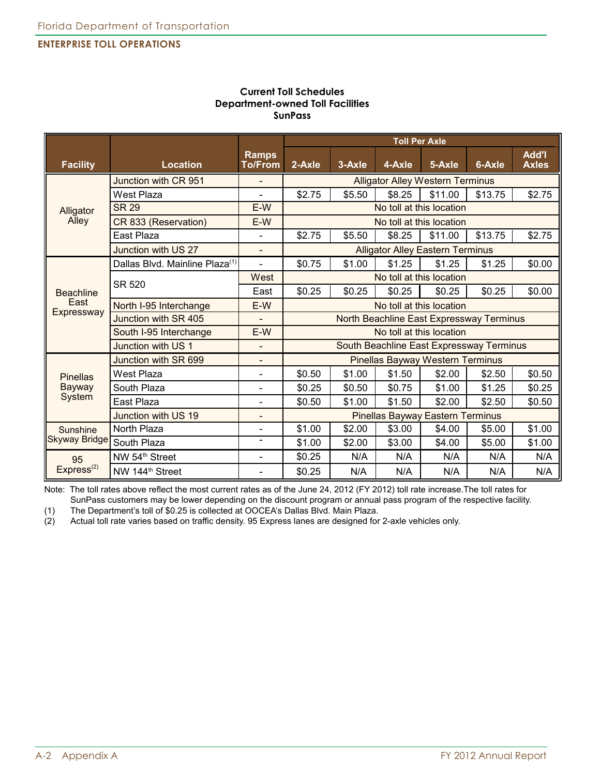|                        |                                            |                                | <b>Toll Per Axle</b>                     |                          |        |                                         |         |                              |
|------------------------|--------------------------------------------|--------------------------------|------------------------------------------|--------------------------|--------|-----------------------------------------|---------|------------------------------|
| <b>Facility</b>        | <b>Location</b>                            | <b>Ramps</b><br><b>To/From</b> | 2-Axle                                   | 3-Axle                   | 4-Axle | 5-Axle                                  | 6-Axle  | <b>Add'l</b><br><b>Axles</b> |
|                        | Junction with CR 951                       |                                |                                          |                          |        | <b>Alligator Alley Western Terminus</b> |         |                              |
|                        | <b>West Plaza</b>                          |                                | \$2.75                                   | \$5.50                   | \$8.25 | \$11.00                                 | \$13.75 | \$2.75                       |
| Alligator              | <b>SR 29</b>                               | $E-W$                          |                                          | No toll at this location |        |                                         |         |                              |
| Alley                  | CR 833 (Reservation)                       | $E-W$                          |                                          |                          |        | No toll at this location                |         |                              |
|                        | East Plaza                                 | $\overline{a}$                 | \$2.75                                   | \$5.50                   | \$8.25 | \$11.00                                 | \$13.75 | \$2.75                       |
|                        | Junction with US 27                        |                                |                                          |                          |        | <b>Alligator Alley Eastern Terminus</b> |         |                              |
|                        | Dallas Blvd. Mainline Plaza <sup>(1)</sup> | $\overline{a}$                 | \$0.75                                   | \$1.00                   | \$1.25 | \$1.25                                  | \$1.25  | \$0.00                       |
|                        | <b>SR 520</b>                              | West                           | No toll at this location                 |                          |        |                                         |         |                              |
| <b>Beachline</b>       |                                            | East                           | \$0.25                                   | \$0.25                   | \$0.25 | \$0.25                                  | \$0.25  | \$0.00                       |
| East<br>Expressway     | North I-95 Interchange                     | E-W                            | No toll at this location                 |                          |        |                                         |         |                              |
|                        | Junction with SR 405                       | $\blacksquare$                 | North Beachline East Expressway Terminus |                          |        |                                         |         |                              |
|                        | South I-95 Interchange                     | $E-W$                          | No toll at this location                 |                          |        |                                         |         |                              |
|                        | Junction with US 1                         | $\blacksquare$                 | South Beachline East Expressway Terminus |                          |        |                                         |         |                              |
|                        | Junction with SR 699                       |                                |                                          |                          |        | <b>Pinellas Bayway Western Terminus</b> |         |                              |
| <b>Pinellas</b>        | West Plaza                                 | $\blacksquare$                 | \$0.50                                   | \$1.00                   | \$1.50 | \$2.00                                  | \$2.50  | \$0.50                       |
| Bayway                 | South Plaza                                |                                | \$0.25                                   | \$0.50                   | \$0.75 | \$1.00                                  | \$1.25  | \$0.25                       |
| System                 | East Plaza                                 |                                | \$0.50                                   | \$1.00                   | \$1.50 | \$2.00                                  | \$2.50  | \$0.50                       |
|                        | Junction with US 19                        |                                |                                          |                          |        | <b>Pinellas Bayway Eastern Terminus</b> |         |                              |
| Sunshine               | North Plaza                                | $\blacksquare$                 | \$1.00                                   | \$2.00                   | \$3.00 | \$4.00                                  | \$5.00  | \$1.00                       |
| <b>Skyway Bridge</b>   | South Plaza                                |                                | \$1.00                                   | \$2.00                   | \$3.00 | \$4.00                                  | \$5.00  | \$1.00                       |
| 95                     | NW 54 <sup>th</sup> Street                 | $\overline{\phantom{0}}$       | \$0.25                                   | N/A                      | N/A    | N/A                                     | N/A     | N/A                          |
| Express <sup>(2)</sup> | NW 144 <sup>th</sup> Street                |                                | \$0.25                                   | N/A                      | N/A    | N/A                                     | N/A     | N/A                          |

#### **Current Toll Schedules Department-owned Toll Facilities SunPass**

Note: The toll rates above reflect the most current rates as of the June 24, 2012 (FY 2012) toll rate increase.The toll rates for SunPass customers may be lower depending on the discount program or annual pass program of the respective facility.

(1) The Department's toll of \$0.25 is collected at OOCEA's Dallas Blvd. Main Plaza. Actual toll rate varies based on traffic density. 95 Express lanes are designed for 2-axle vehicles only.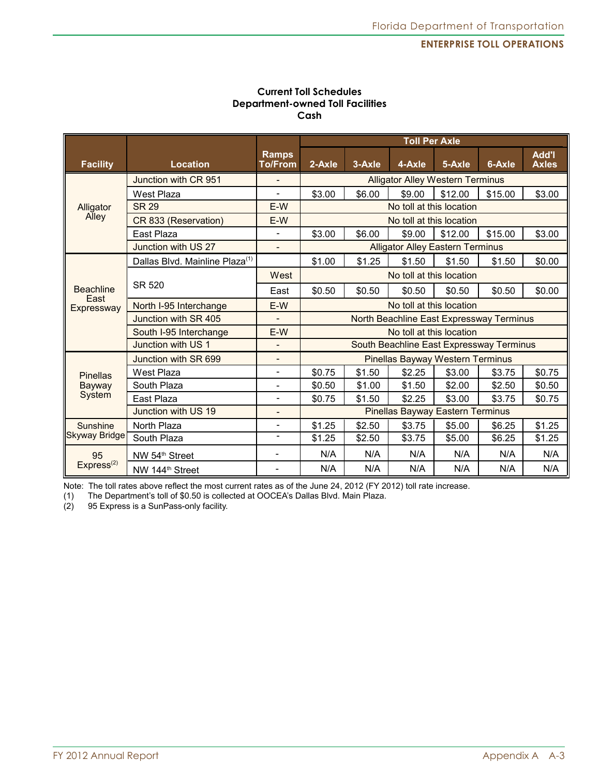| <b>Current Toll Schedules</b>           |
|-----------------------------------------|
| <b>Department-owned Toll Facilities</b> |
| Cash                                    |

|                        |                                            |                                | <b>Toll Per Axle</b>                     |        |                                         |         |         |                       |
|------------------------|--------------------------------------------|--------------------------------|------------------------------------------|--------|-----------------------------------------|---------|---------|-----------------------|
| <b>Facility</b>        | Location                                   | <b>Ramps</b><br><b>To/From</b> | 2-Axle                                   | 3-Axle | 4-Axle                                  | 5-Axle  | 6-Axle  | Add'l<br><b>Axles</b> |
|                        | Junction with CR 951                       |                                | <b>Alligator Alley Western Terminus</b>  |        |                                         |         |         |                       |
|                        | West Plaza                                 |                                | \$3.00                                   | \$6.00 | \$9.00                                  | \$12.00 | \$15.00 | \$3.00                |
| Alligator              | <b>SR 29</b>                               | E-W                            | No toll at this location                 |        |                                         |         |         |                       |
| Alley                  | CR 833 (Reservation)                       | $E-W$                          |                                          |        | No toll at this location                |         |         |                       |
|                        | East Plaza                                 |                                | \$3.00                                   | \$6.00 | \$9.00                                  | \$12.00 | \$15.00 | \$3.00                |
|                        | Junction with US 27                        |                                |                                          |        | <b>Alligator Alley Eastern Terminus</b> |         |         |                       |
|                        | Dallas Blvd. Mainline Plaza <sup>(1)</sup> |                                | \$1.00                                   | \$1.25 | \$1.50                                  | \$1.50  | \$1.50  | \$0.00                |
|                        |                                            | West                           | No toll at this location                 |        |                                         |         |         |                       |
| <b>Beachline</b>       | SR 520                                     | East                           | \$0.50                                   | \$0.50 | \$0.50                                  | \$0.50  | \$0.50  | \$0.00                |
| East<br>Expressway     | North I-95 Interchange                     | E-W                            | No toll at this location                 |        |                                         |         |         |                       |
|                        | Junction with SR 405                       |                                | North Beachline East Expressway Terminus |        |                                         |         |         |                       |
|                        | South I-95 Interchange                     | E-W                            | No toll at this location                 |        |                                         |         |         |                       |
|                        | Junction with US 1                         |                                | South Beachline East Expressway Terminus |        |                                         |         |         |                       |
|                        | Junction with SR 699                       |                                |                                          |        | <b>Pinellas Bayway Western Terminus</b> |         |         |                       |
| <b>Pinellas</b>        | West Plaza                                 |                                | \$0.75                                   | \$1.50 | \$2.25                                  | \$3.00  | \$3.75  | \$0.75                |
| Bayway                 | South Plaza                                |                                | \$0.50                                   | \$1.00 | \$1.50                                  | \$2.00  | \$2.50  | \$0.50                |
| System                 | East Plaza                                 |                                | \$0.75                                   | \$1.50 | \$2.25                                  | \$3.00  | \$3.75  | \$0.75                |
|                        | Junction with US 19                        | $\overline{a}$                 |                                          |        | <b>Pinellas Bayway Eastern Terminus</b> |         |         |                       |
| Sunshine               | North Plaza                                |                                | \$1.25                                   | \$2.50 | \$3.75                                  | \$5.00  | \$6.25  | \$1.25                |
| <b>Skyway Bridge</b>   | South Plaza                                | $\overline{\phantom{0}}$       | \$1.25                                   | \$2.50 | \$3.75                                  | \$5.00  | \$6.25  | \$1.25                |
| 95                     | NW 54 <sup>th</sup> Street                 | $\blacksquare$                 | N/A                                      | N/A    | N/A                                     | N/A     | N/A     | N/A                   |
| Express <sup>(2)</sup> | NW 144 <sup>th</sup> Street                |                                | N/A                                      | N/A    | N/A                                     | N/A     | N/A     | N/A                   |

Note: The toll rates above reflect the most current rates as of the June 24, 2012 (FY 2012) toll rate increase.

(1) The Department's toll of \$0.50 is collected at OOCEA's Dallas Blvd. Main Plaza.

95 Express is a SunPass-only facility.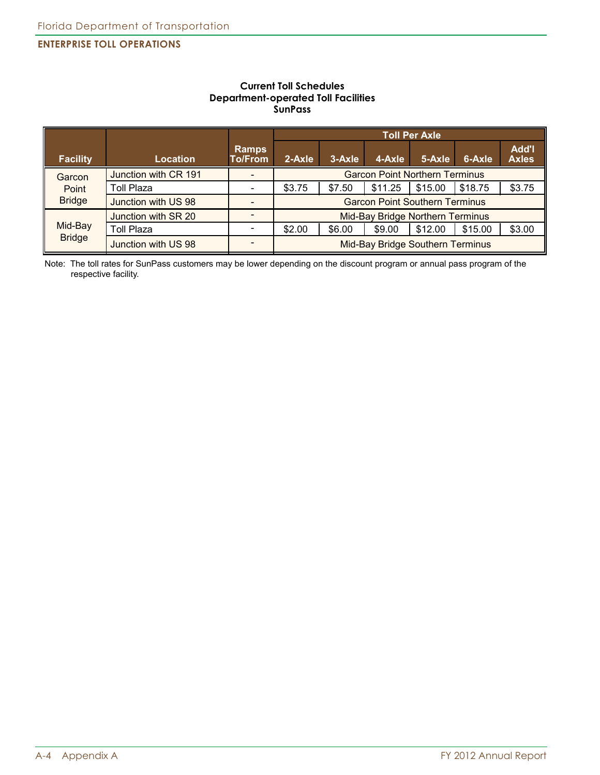#### **Current Toll Schedules Department-operated Toll Facilities SunPass**

|                 |                      |                                |                                         | <b>Toll Per Axle</b>             |         |         |         |                              |
|-----------------|----------------------|--------------------------------|-----------------------------------------|----------------------------------|---------|---------|---------|------------------------------|
| <b>Facility</b> | <b>Location</b>      | <b>Ramps</b><br><b>To/From</b> | 2-Axle                                  | 3-Axle                           | 4-Axle  | 5-Axle  | 6-Axle  | <b>Add'l</b><br><b>Axles</b> |
| Garcon          | Junction with CR 191 |                                | <b>Garcon Point Northern Terminus</b>   |                                  |         |         |         |                              |
| Point           | Toll Plaza           |                                | \$3.75                                  | \$7.50                           | \$11.25 | \$15.00 | \$18.75 | \$3.75                       |
| <b>Bridge</b>   | Junction with US 98  |                                | <b>Garcon Point Southern Terminus</b>   |                                  |         |         |         |                              |
|                 | Junction with SR 20  |                                | <b>Mid-Bay Bridge Northern Terminus</b> |                                  |         |         |         |                              |
| Mid-Bay         | Toll Plaza           |                                | \$2.00                                  | \$6.00                           | \$9.00  | \$12.00 | \$15.00 | \$3.00                       |
| <b>Bridge</b>   | Junction with US 98  |                                |                                         | Mid-Bay Bridge Southern Terminus |         |         |         |                              |

Note: The toll rates for SunPass customers may be lower depending on the discount program or annual pass program of the respective facility.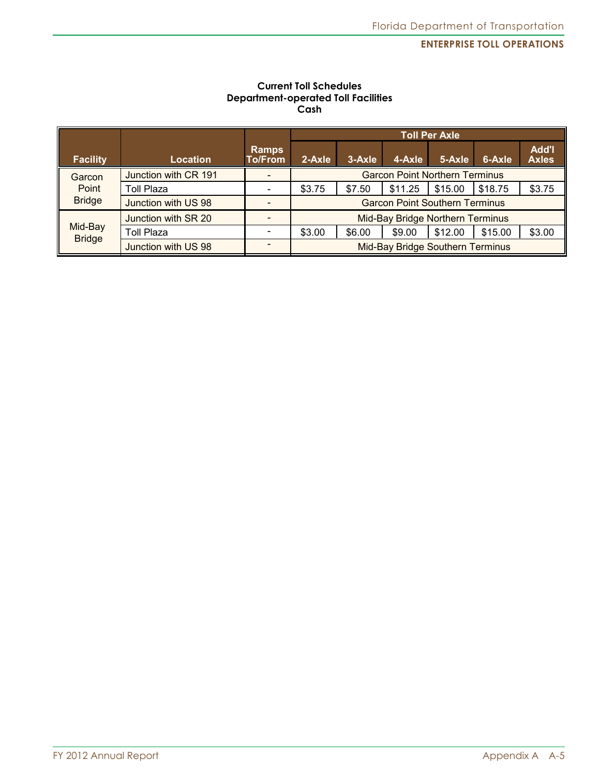#### **Current Toll Schedules Department-operated Toll Facilities Cash**

|                 |                      |                  |                                       | <b>Toll Per Axle</b>             |         |         |         |                              |
|-----------------|----------------------|------------------|---------------------------------------|----------------------------------|---------|---------|---------|------------------------------|
| <b>Facility</b> | Location             | Ramps<br>To/From | 2-Axle                                | 3-Axle                           | 4-Axle  | 5-Axle  | 6-Axle  | <b>Add'l</b><br><b>Axles</b> |
| Garcon          | Junction with CR 191 |                  | <b>Garcon Point Northern Terminus</b> |                                  |         |         |         |                              |
| Point           | Toll Plaza           |                  | \$3.75                                | \$7.50                           | \$11.25 | \$15.00 | \$18.75 | \$3.75                       |
| <b>Bridge</b>   | Junction with US 98  |                  | <b>Garcon Point Southern Terminus</b> |                                  |         |         |         |                              |
|                 | Junction with SR 20  |                  | Mid-Bay Bridge Northern Terminus      |                                  |         |         |         |                              |
| Mid-Bay         | <b>Toll Plaza</b>    |                  | \$3.00                                | \$6.00                           | \$9.00  | \$12.00 | \$15.00 | \$3.00                       |
| <b>Bridge</b>   | Junction with US 98  |                  |                                       | Mid-Bay Bridge Southern Terminus |         |         |         |                              |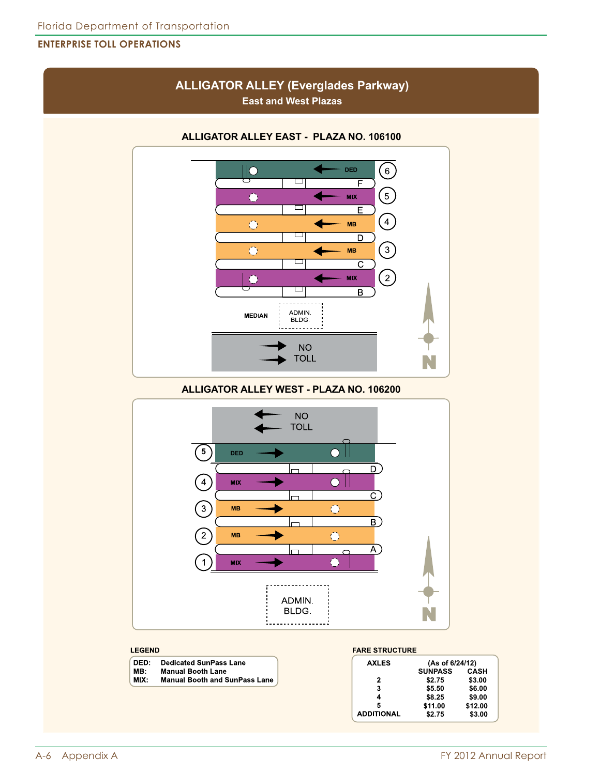## **ALLIGATOR ALLEY (Everglades Parkway) East and West Plazas**



**ALLIGATOR ALLEY EAST - PLAZA NO. 106100**

**ALLIGATOR ALLEY WEST - PLAZA NO. 106200**



#### **LEGEND**

| DED: | <b>Dedicated SunPass Lane</b>        |
|------|--------------------------------------|
| MB:  | <b>Manual Booth Lane</b>             |
| MIX: | <b>Manual Booth and SunPass Lane</b> |

| <b>FARE STRUCTURE</b> |                 |             |  |  |  |  |  |
|-----------------------|-----------------|-------------|--|--|--|--|--|
| <b>AXLES</b>          | (As of 6/24/12) |             |  |  |  |  |  |
|                       | <b>SUNPASS</b>  | <b>CASH</b> |  |  |  |  |  |
| 2                     | \$2.75          | \$3.00      |  |  |  |  |  |
| 3                     | \$5.50          | \$6.00      |  |  |  |  |  |
| 4                     | \$8.25          | \$9.00      |  |  |  |  |  |
| 5                     | \$11.00         | \$12.00     |  |  |  |  |  |
| <b>ADDITIONAL</b>     | \$2.75          | \$3.00      |  |  |  |  |  |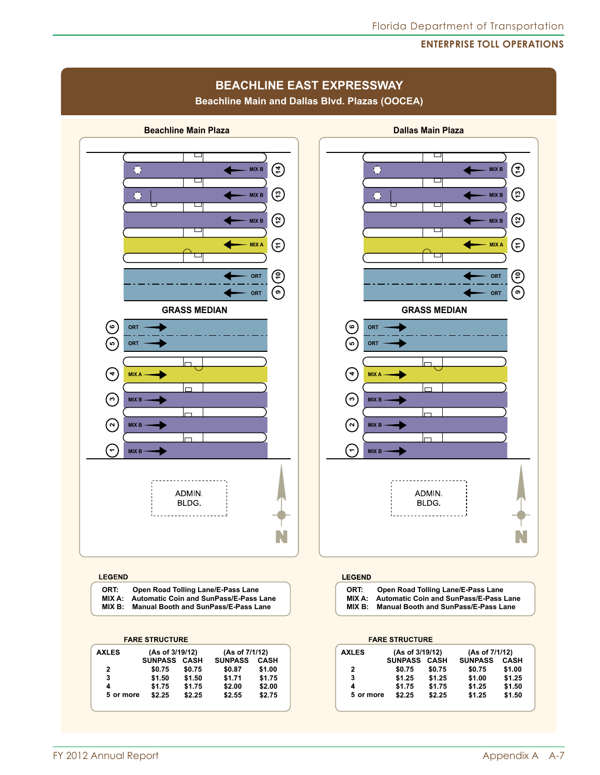## Florida Department of Transportation

#### **Enterprise Toll Operations**

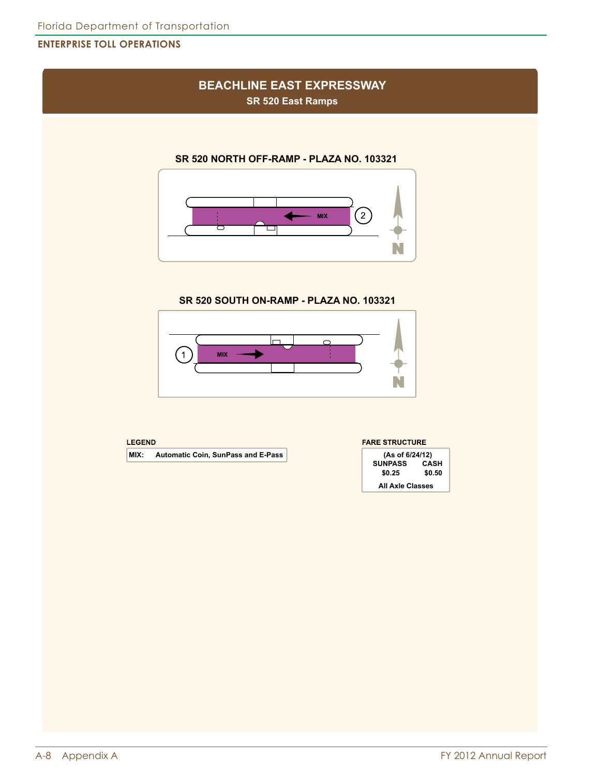# **BEACHLINE EAST EXPRESSWAY**

**SR 520 East Ramps**

#### **SR 520 NORTH OFF-RAMP - PLAZA NO. 103321**



**SR 520 SOUTH ON-RAMP - PLAZA NO. 103321**



| <b>LEGEND</b> |
|---------------|
|---------------|

**MIX:** Automatic Coin, SunPass and E-Pass

#### **FARE STRUCTURE**

| (As of 6/24/12)  |      |  |  |  |  |
|------------------|------|--|--|--|--|
| <b>SUNPASS</b>   | CASH |  |  |  |  |
| \$0.50<br>\$0.25 |      |  |  |  |  |
| All Axle Classes |      |  |  |  |  |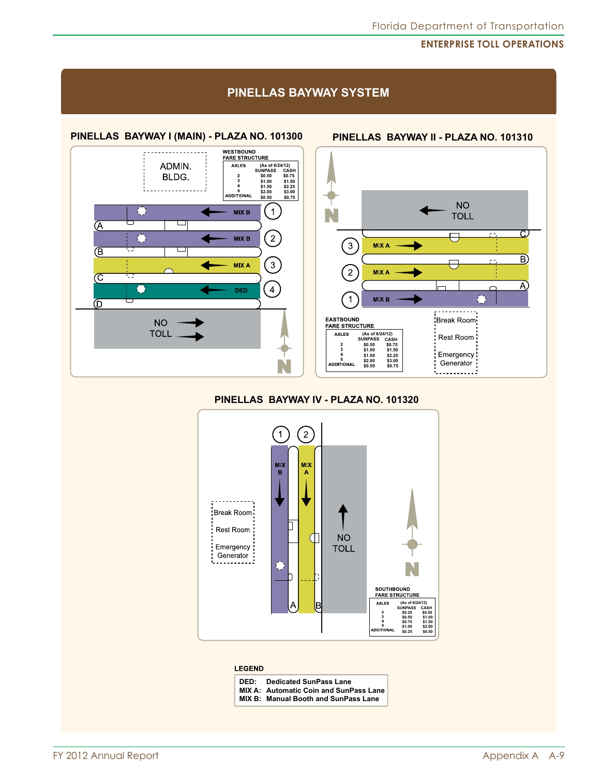### **PINELLAS BAYWAY SYSTEM**





#### **PINELLAS BAYWAY IV - PLAZA NO. 101320**



#### **LEGEND**

| DED: | <b>Dedicated SunPass Lane</b>                 |
|------|-----------------------------------------------|
|      | <b>MIX A: Automatic Coin and SunPass Lane</b> |
|      | <b>MIX B: Manual Booth and SunPass Lane</b>   |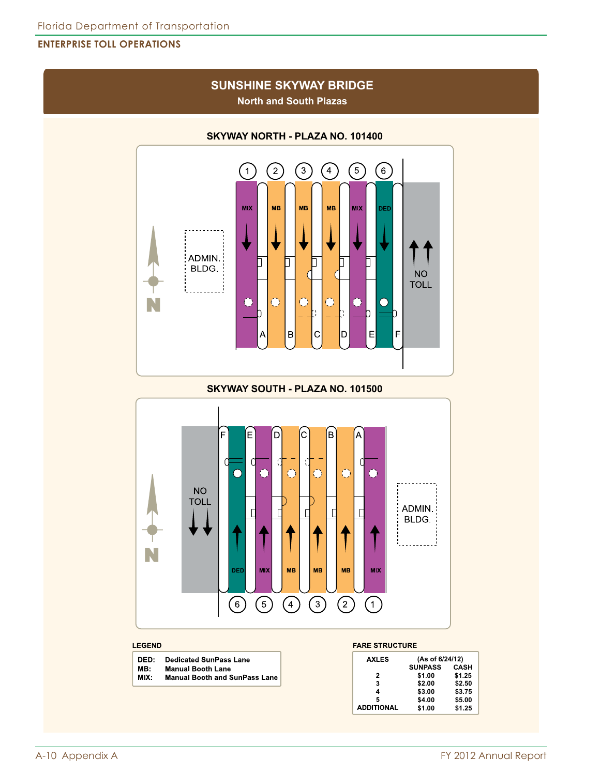## **SUNSHINE SKYWAY BRIDGE North and South Plazas**



**SKYWAY NORTH - PLAZA NO. 101400**

**SKYWAY SOUTH - PLAZA NO. 101500**



#### **LEGEND**

| DED:  | <b>Dedicated SunPass Lane</b>        |
|-------|--------------------------------------|
| MB:   | <b>Manual Booth Lane</b>             |
| MIX : | <b>Manual Booth and SunPass Lane</b> |
|       |                                      |

| <b>AXLES</b>      | (As of 6/24/12) |             |
|-------------------|-----------------|-------------|
|                   | <b>SUNPASS</b>  | <b>CASH</b> |
| 2                 | \$1.00          | \$1.25      |
| 3                 | \$2.00          | \$2.50      |
| 4                 | \$3.00          | \$3.75      |
| 5                 | \$4.00          | \$5.00      |
| <b>ADDITIONAL</b> | \$1.00          | \$1.25      |
|                   |                 |             |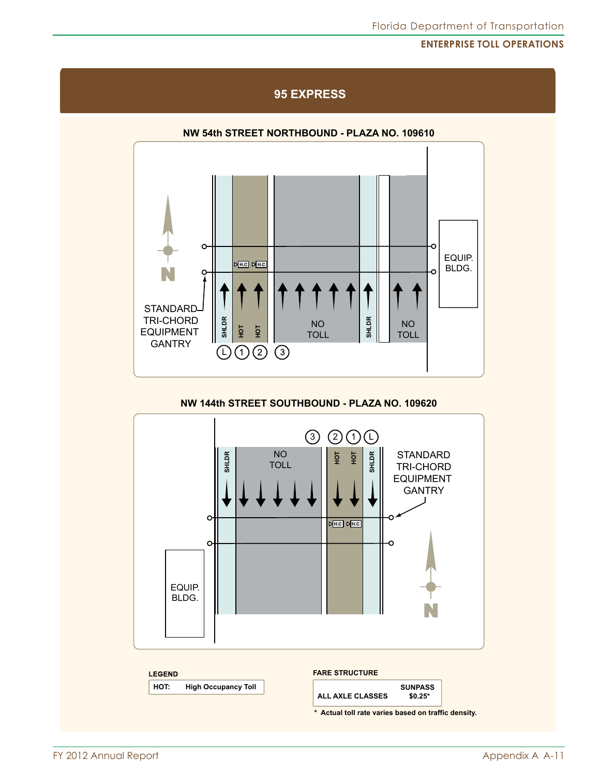## Florida Department of Transportation

#### **Enterprise Toll Operations**



**95 EXPRESS**

#### **NW 144th STREET SOUTHBOUND - PLAZA NO. 109620**

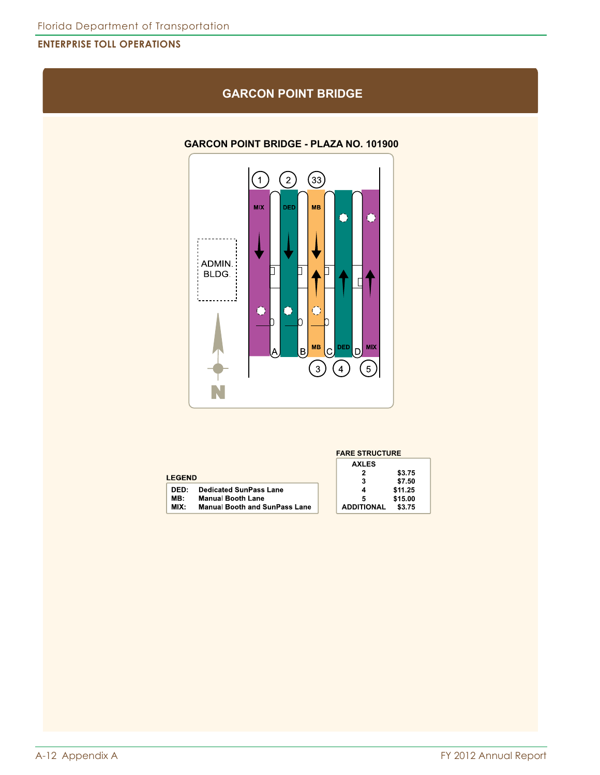## **GARCON POINT BRIDGE**

#### **GARCON POINT BRIDGE - PLAZA NO. 101900**



|                                              | <b>FARE STRUCTURE</b>       |  |
|----------------------------------------------|-----------------------------|--|
|                                              | <b>AXLES</b>                |  |
|                                              | \$3.75<br>2                 |  |
| <b>LEGEND</b>                                | \$7.50<br>3                 |  |
| <b>Dedicated SunPass Lane</b><br>DED:        | \$11.25<br>4                |  |
| MB:<br><b>Manual Booth Lane</b>              | \$15.00<br>5                |  |
| MIX:<br><b>Manual Booth and SunPass Lane</b> | <b>ADDITIONAL</b><br>\$3.75 |  |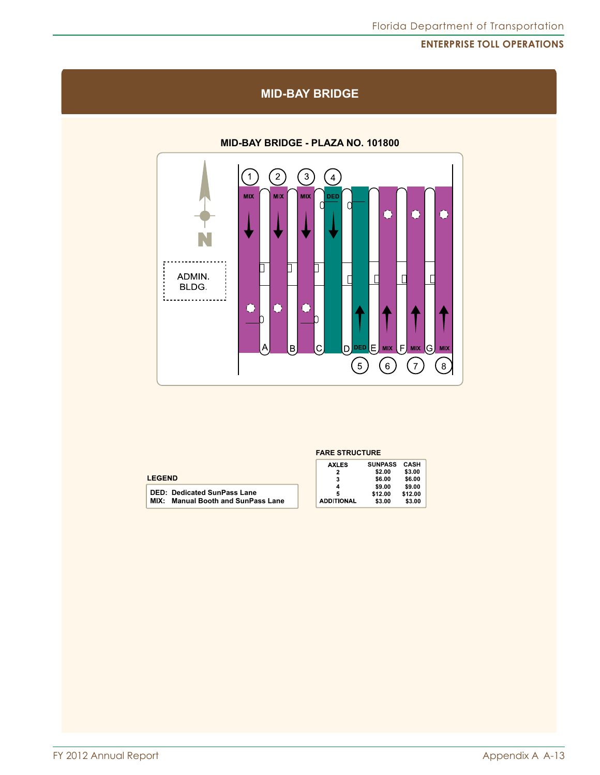#### $\odot$  $\odot$  $\bigcirc$  $\bigodot$ **MIX MIX MIX** DED 0  $\Omega$  $\bullet$  $\bullet$  $\bullet$  $\Box$ Π. 口 ADMIN.  $\mathbf{d}$  $\Gamma$  $\Gamma$ BLDG. 1. . . . . . . . . . . . . . . . . . 1  $\bullet$  $\bullet$  $\bullet$ b D  $\mathsf{D}$ DED  $\overline{C}$ **MIX**  $F$  **MIX**  $G$  **MIX** Α  $\overline{B}$ lЕ  $\bigodot$  $\odot$  $\bigodot$  $\left( 8\right)$

# **MID-BAY BRIDGE - PLAZA NO. 101800**

**MID-BAY BRIDGE**

| <b>LEGEND</b> |  |
|---------------|--|
|---------------|--|

| <b>DED: Dedicated SunPass Lane</b>        |
|-------------------------------------------|
| <b>MIX: Manual Booth and SunPass Lane</b> |

| <b>FARE STRUCTURE</b> |  |
|-----------------------|--|
|-----------------------|--|

| <b>AXLES</b>      | <b>SUNPASS</b> | CASH    |
|-------------------|----------------|---------|
|                   | \$2.00         | \$3.00  |
|                   | \$6.00         | \$6.00  |
|                   | \$9.00         | \$9.00  |
|                   | \$12.00        | \$12.00 |
| <b>ADDITIONAL</b> | \$3.00         | \$3.00  |
|                   |                |         |